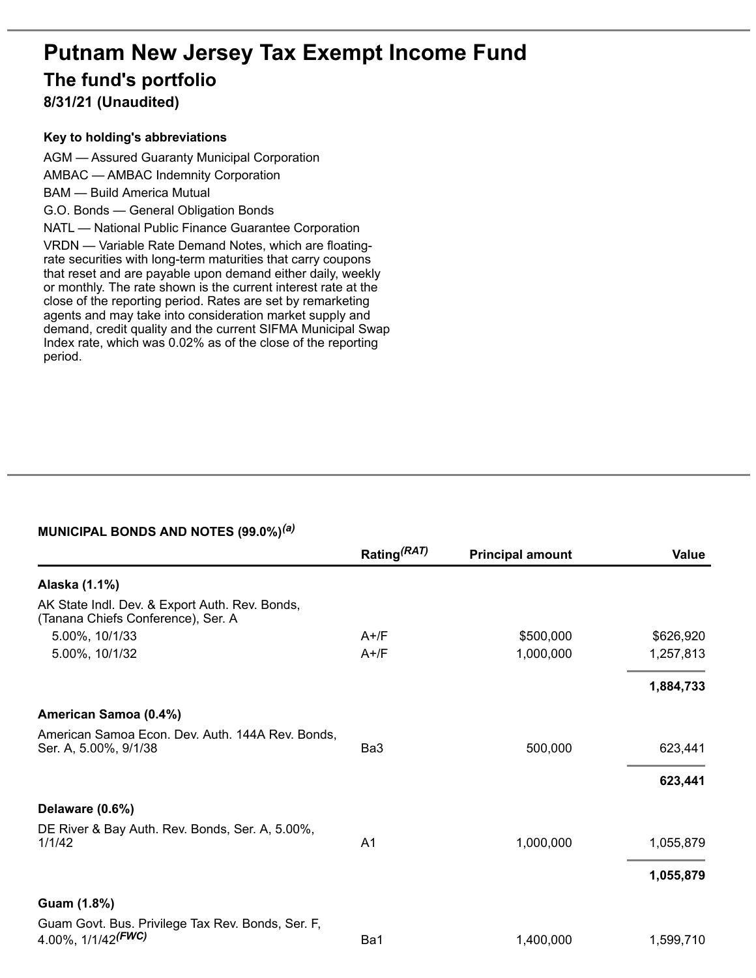# **Putnam New Jersey Tax Exempt Income Fund The fund's portfolio 8/31/21 (Unaudited)**

#### **Key to holding's abbreviations**

AGM — Assured Guaranty Municipal Corporation AMBAC — AMBAC Indemnity Corporation BAM — Build America Mutual G.O. Bonds — General Obligation Bonds NATL — National Public Finance Guarantee Corporation VRDN — Variable Rate Demand Notes, which are floatingrate securities with long-term maturities that carry coupons that reset and are payable upon demand either daily, weekly or monthly. The rate shown is the current interest rate at the close of the reporting period. Rates are set by remarketing agents and may take into consideration market supply and demand, credit quality and the current SIFMA Municipal Swap Index rate, which was 0.02% as of the close of the reporting period.

#### **MUNICIPAL BONDS AND NOTES (99.0%)** *(a)*

|                                                                                      | Rating <sup>(RAT)</sup> | <b>Principal amount</b> | Value     |
|--------------------------------------------------------------------------------------|-------------------------|-------------------------|-----------|
| Alaska (1.1%)                                                                        |                         |                         |           |
| AK State Indl. Dev. & Export Auth. Rev. Bonds,<br>(Tanana Chiefs Conference), Ser. A |                         |                         |           |
| 5.00%, 10/1/33                                                                       | $A+$ /F                 | \$500,000               | \$626,920 |
| 5.00%, 10/1/32                                                                       | $A+$ /F                 | 1,000,000               | 1,257,813 |
|                                                                                      |                         |                         | 1,884,733 |
| American Samoa (0.4%)                                                                |                         |                         |           |
| American Samoa Econ. Dev. Auth. 144A Rev. Bonds,<br>Ser. A, 5.00%, 9/1/38            | Ba3                     | 500,000                 | 623,441   |
|                                                                                      |                         |                         | 623,441   |
| Delaware (0.6%)                                                                      |                         |                         |           |
| DE River & Bay Auth. Rev. Bonds, Ser. A, 5.00%,<br>1/1/42                            | A <sub>1</sub>          | 1,000,000               | 1,055,879 |
|                                                                                      |                         |                         | 1,055,879 |
| Guam (1.8%)                                                                          |                         |                         |           |
| Guam Govt. Bus. Privilege Tax Rev. Bonds, Ser. F,<br>4.00%, 1/1/42 <sup>(FWC)</sup>  | Ba1                     | 1,400,000               | 1,599,710 |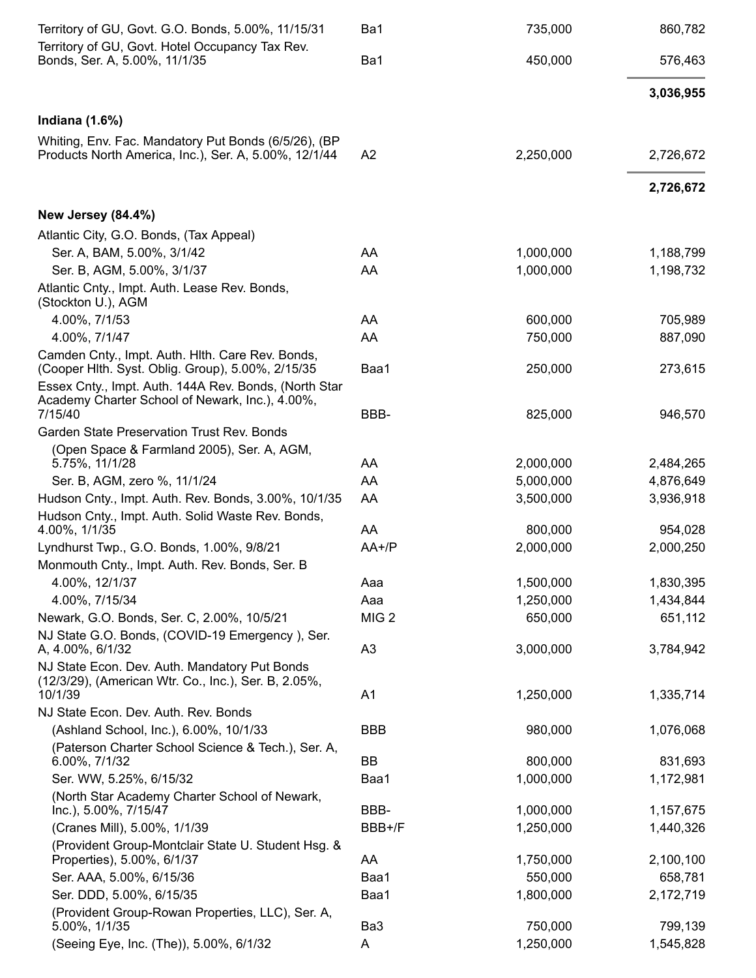| Territory of GU, Govt. G.O. Bonds, 5.00%, 11/15/31                                                            | Ba1              | 735,000   | 860,782   |
|---------------------------------------------------------------------------------------------------------------|------------------|-----------|-----------|
| Territory of GU, Govt. Hotel Occupancy Tax Rev.<br>Bonds, Ser. A, 5.00%, 11/1/35                              | Ba1              | 450,000   | 576,463   |
|                                                                                                               |                  |           | 3,036,955 |
| Indiana $(1.6%)$                                                                                              |                  |           |           |
| Whiting, Env. Fac. Mandatory Put Bonds (6/5/26), (BP<br>Products North America, Inc.), Ser. A, 5.00%, 12/1/44 | A <sub>2</sub>   | 2,250,000 | 2,726,672 |
|                                                                                                               |                  |           | 2,726,672 |
| <b>New Jersey (84.4%)</b>                                                                                     |                  |           |           |
| Atlantic City, G.O. Bonds, (Tax Appeal)                                                                       |                  |           |           |
| Ser. A, BAM, 5.00%, 3/1/42                                                                                    | AA               | 1,000,000 | 1,188,799 |
| Ser. B, AGM, 5.00%, 3/1/37                                                                                    | AA               | 1,000,000 | 1,198,732 |
| Atlantic Cnty., Impt. Auth. Lease Rev. Bonds,<br>(Stockton U.), AGM                                           |                  |           |           |
| 4.00%, 7/1/53                                                                                                 | AA               | 600,000   | 705,989   |
| 4.00%, 7/1/47                                                                                                 | AA               | 750,000   | 887,090   |
| Camden Cnty., Impt. Auth. Hith. Care Rev. Bonds,<br>(Cooper Hlth. Syst. Oblig. Group), 5.00%, 2/15/35         | Baa1             | 250,000   | 273,615   |
| Essex Cnty., Impt. Auth. 144A Rev. Bonds, (North Star                                                         |                  |           |           |
| Academy Charter School of Newark, Inc.), 4.00%,<br>7/15/40                                                    | BBB-             | 825,000   | 946,570   |
| Garden State Preservation Trust Rev. Bonds                                                                    |                  |           |           |
| (Open Space & Farmland 2005), Ser. A, AGM,                                                                    |                  |           |           |
| 5.75%, 11/1/28                                                                                                | AA               | 2,000,000 | 2,484,265 |
| Ser. B, AGM, zero %, 11/1/24                                                                                  | AA               | 5,000,000 | 4,876,649 |
| Hudson Cnty., Impt. Auth. Rev. Bonds, 3.00%, 10/1/35                                                          | AA               | 3,500,000 | 3,936,918 |
| Hudson Cnty., Impt. Auth. Solid Waste Rev. Bonds,                                                             |                  |           |           |
| 4.00%, 1/1/35                                                                                                 | AA               | 800,000   | 954,028   |
| Lyndhurst Twp., G.O. Bonds, 1.00%, 9/8/21                                                                     | $AA+/P$          | 2,000,000 | 2,000,250 |
| Monmouth Cnty., Impt. Auth. Rev. Bonds, Ser. B                                                                |                  |           |           |
| 4.00%, 12/1/37                                                                                                | Aaa              | 1,500,000 | 1,830,395 |
| 4.00%, 7/15/34                                                                                                | Aaa              | 1,250,000 | 1,434,844 |
| Newark, G.O. Bonds, Ser. C, 2.00%, 10/5/21                                                                    | MIG <sub>2</sub> | 650,000   | 651,112   |
| NJ State G.O. Bonds, (COVID-19 Emergency), Ser.<br>A, 4.00%, 6/1/32                                           | A3               | 3,000,000 | 3,784,942 |
| NJ State Econ. Dev. Auth. Mandatory Put Bonds                                                                 |                  |           |           |
| (12/3/29), (American Wtr. Co., Inc.), Ser. B, 2.05%,                                                          |                  |           |           |
| 10/1/39                                                                                                       | A <sub>1</sub>   | 1,250,000 | 1,335,714 |
| NJ State Econ. Dev. Auth. Rev. Bonds                                                                          |                  |           |           |
| (Ashland School, Inc.), 6.00%, 10/1/33                                                                        | <b>BBB</b>       | 980,000   | 1,076,068 |
| (Paterson Charter School Science & Tech.), Ser. A,<br>6.00%, 7/1/32                                           | BB               | 800,000   | 831,693   |
| Ser. WW, 5.25%, 6/15/32                                                                                       | Baa1             | 1,000,000 | 1,172,981 |
| (North Star Academy Charter School of Newark,                                                                 |                  |           |           |
| Inc.), 5.00%, 7/15/47                                                                                         | BBB-             | 1,000,000 | 1,157,675 |
| (Cranes Mill), 5.00%, 1/1/39                                                                                  | BBB+/F           | 1,250,000 | 1,440,326 |
| (Provident Group-Montclair State U. Student Hsg. &<br>Properties), 5.00%, 6/1/37                              | AA               | 1,750,000 | 2,100,100 |
| Ser. AAA, 5.00%, 6/15/36                                                                                      | Baa1             | 550,000   | 658,781   |
| Ser. DDD, 5.00%, 6/15/35                                                                                      | Baa1             | 1,800,000 | 2,172,719 |
| (Provident Group-Rowan Properties, LLC), Ser. A,                                                              |                  |           |           |
| 5.00%, 1/1/35                                                                                                 | Ba3              | 750,000   | 799,139   |
| (Seeing Eye, Inc. (The)), 5.00%, 6/1/32                                                                       | A                | 1,250,000 | 1,545,828 |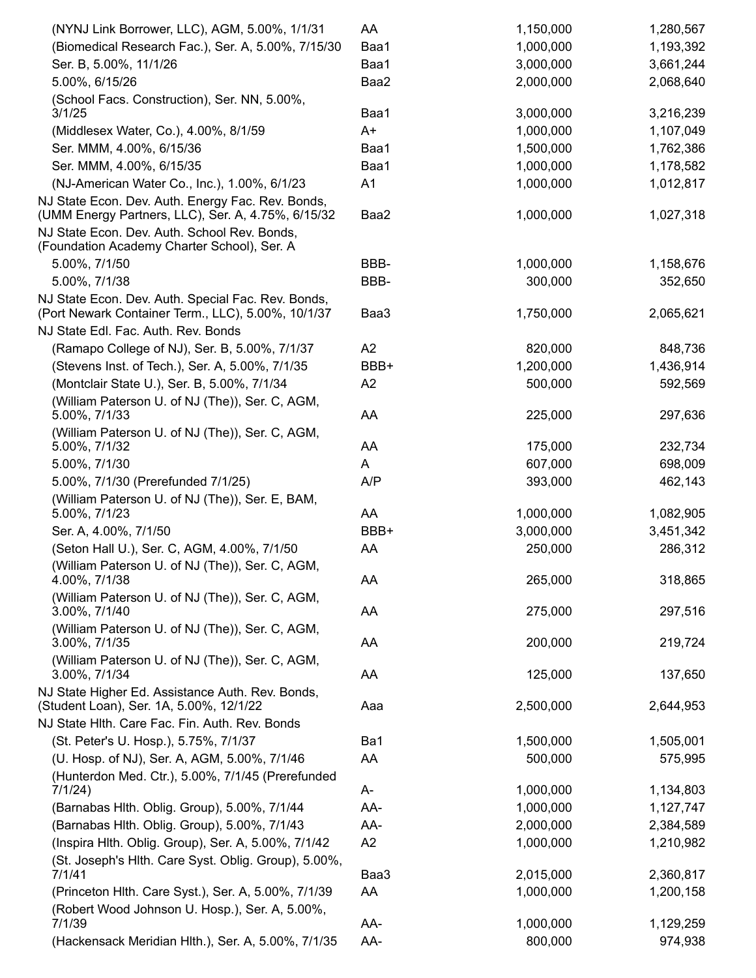| (NYNJ Link Borrower, LLC), AGM, 5.00%, 1/1/31                                                            | AA   | 1,150,000 | 1,280,567 |
|----------------------------------------------------------------------------------------------------------|------|-----------|-----------|
| (Biomedical Research Fac.), Ser. A, 5.00%, 7/15/30                                                       | Baa1 | 1,000,000 | 1,193,392 |
| Ser. B, 5.00%, 11/1/26                                                                                   | Baa1 | 3,000,000 | 3,661,244 |
| 5.00%, 6/15/26                                                                                           | Baa2 | 2,000,000 | 2,068,640 |
| (School Facs. Construction), Ser. NN, 5.00%,                                                             |      |           |           |
| 3/1/25                                                                                                   | Baa1 | 3,000,000 | 3,216,239 |
| (Middlesex Water, Co.), 4.00%, 8/1/59                                                                    | $A+$ | 1,000,000 | 1,107,049 |
| Ser. MMM, 4.00%, 6/15/36                                                                                 | Baa1 | 1,500,000 | 1,762,386 |
| Ser. MMM, 4.00%, 6/15/35                                                                                 | Baa1 | 1,000,000 | 1,178,582 |
| (NJ-American Water Co., Inc.), 1.00%, 6/1/23                                                             | A1   | 1,000,000 | 1,012,817 |
| NJ State Econ. Dev. Auth. Energy Fac. Rev. Bonds,<br>(UMM Energy Partners, LLC), Ser. A, 4.75%, 6/15/32  | Baa2 | 1,000,000 | 1,027,318 |
| NJ State Econ. Dev. Auth. School Rev. Bonds,<br>(Foundation Academy Charter School), Ser. A              |      |           |           |
| 5.00%, 7/1/50                                                                                            | BBB- | 1,000,000 | 1,158,676 |
| 5.00%, 7/1/38                                                                                            | BBB- | 300,000   | 352,650   |
| NJ State Econ. Dev. Auth. Special Fac. Rev. Bonds,<br>(Port Newark Container Term., LLC), 5.00%, 10/1/37 | Baa3 | 1,750,000 | 2,065,621 |
| NJ State Edl. Fac. Auth. Rev. Bonds                                                                      |      |           |           |
| (Ramapo College of NJ), Ser. B, 5.00%, 7/1/37                                                            | A2   | 820,000   | 848,736   |
| (Stevens Inst. of Tech.), Ser. A, 5.00%, 7/1/35                                                          | BBB+ | 1,200,000 | 1,436,914 |
| (Montclair State U.), Ser. B, 5.00%, 7/1/34                                                              | A2   | 500,000   | 592,569   |
| (William Paterson U. of NJ (The)), Ser. C, AGM,                                                          |      |           |           |
| 5.00%, 7/1/33                                                                                            | AA   | 225,000   | 297,636   |
| (William Paterson U. of NJ (The)), Ser. C, AGM,<br>5.00%, 7/1/32                                         | AA   | 175,000   | 232,734   |
| 5.00%, 7/1/30                                                                                            | A    | 607,000   | 698,009   |
| 5.00%, 7/1/30 (Prerefunded 7/1/25)                                                                       | A/P  | 393,000   | 462,143   |
| (William Paterson U. of NJ (The)), Ser. E, BAM,                                                          |      |           |           |
| 5.00%, 7/1/23                                                                                            | AA   | 1,000,000 | 1,082,905 |
| Ser. A, 4.00%, 7/1/50                                                                                    | BBB+ | 3,000,000 | 3,451,342 |
| (Seton Hall U.), Ser. C, AGM, 4.00%, 7/1/50                                                              | AA   | 250,000   | 286,312   |
| (William Paterson U. of NJ (The)), Ser. C, AGM,<br>4.00%, 7/1/38                                         | AA   | 265,000   | 318,865   |
| (William Paterson U. of NJ (The)), Ser. C, AGM,                                                          |      |           |           |
| 3.00%, 7/1/40                                                                                            | AA   | 275,000   | 297,516   |
| (William Paterson U. of NJ (The)), Ser. C, AGM,                                                          |      |           |           |
| 3.00%, 7/1/35                                                                                            | AA   | 200,000   | 219,724   |
| (William Paterson U. of NJ (The)), Ser. C, AGM,<br>3.00%, 7/1/34                                         | AA   | 125,000   | 137,650   |
| NJ State Higher Ed. Assistance Auth. Rev. Bonds,                                                         |      |           |           |
| (Student Loan), Ser. 1A, 5.00%, 12/1/22                                                                  | Aaa  | 2,500,000 | 2,644,953 |
| NJ State Hlth. Care Fac. Fin. Auth. Rev. Bonds                                                           |      |           |           |
| (St. Peter's U. Hosp.), 5.75%, 7/1/37                                                                    | Ba1  | 1,500,000 | 1,505,001 |
| (U. Hosp. of NJ), Ser. A, AGM, 5.00%, 7/1/46                                                             | AA   | 500,000   | 575,995   |
| (Hunterdon Med. Ctr.), 5.00%, 7/1/45 (Prerefunded                                                        |      |           |           |
| 7/1/24)                                                                                                  | A-   | 1,000,000 | 1,134,803 |
| (Barnabas Hlth. Oblig. Group), 5.00%, 7/1/44                                                             | AA-  | 1,000,000 | 1,127,747 |
| (Barnabas Hlth. Oblig. Group), 5.00%, 7/1/43                                                             | AA-  | 2,000,000 | 2,384,589 |
| (Inspira Hlth. Oblig. Group), Ser. A, 5.00%, 7/1/42                                                      | A2   | 1,000,000 | 1,210,982 |
| (St. Joseph's Hlth. Care Syst. Oblig. Group), 5.00%,                                                     |      |           |           |
| 7/1/41                                                                                                   | Baa3 | 2,015,000 | 2,360,817 |
| (Princeton Hlth. Care Syst.), Ser. A, 5.00%, 7/1/39                                                      | AA   | 1,000,000 | 1,200,158 |
| (Robert Wood Johnson U. Hosp.), Ser. A, 5.00%,                                                           |      |           |           |
| 7/1/39                                                                                                   | AA-  | 1,000,000 | 1,129,259 |
| (Hackensack Meridian Hlth.), Ser. A, 5.00%, 7/1/35                                                       | AA-  | 800,000   | 974,938   |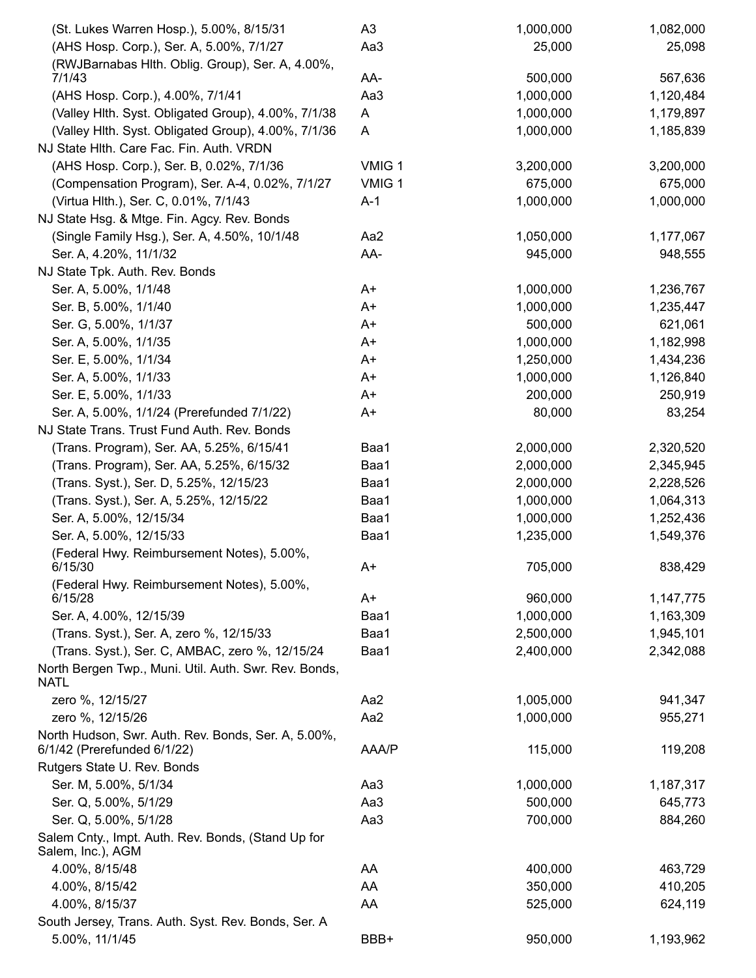| (St. Lukes Warren Hosp.), 5.00%, 8/15/31                                           | A3     | 1,000,000 | 1,082,000 |
|------------------------------------------------------------------------------------|--------|-----------|-----------|
| (AHS Hosp. Corp.), Ser. A, 5.00%, 7/1/27                                           | Aa3    | 25,000    | 25,098    |
| (RWJBarnabas Hlth. Oblig. Group), Ser. A, 4.00%,                                   |        |           |           |
| 7/1/43                                                                             | AA-    | 500,000   | 567,636   |
| (AHS Hosp. Corp.), 4.00%, 7/1/41                                                   | Aa3    | 1,000,000 | 1,120,484 |
| (Valley Hlth. Syst. Obligated Group), 4.00%, 7/1/38                                | A      | 1,000,000 | 1,179,897 |
| (Valley Hlth. Syst. Obligated Group), 4.00%, 7/1/36                                | A      | 1,000,000 | 1,185,839 |
| NJ State Hlth. Care Fac. Fin. Auth. VRDN                                           |        |           |           |
| (AHS Hosp. Corp.), Ser. B, 0.02%, 7/1/36                                           | VMIG 1 | 3,200,000 | 3,200,000 |
| (Compensation Program), Ser. A-4, 0.02%, 7/1/27                                    | VMIG 1 | 675,000   | 675,000   |
| (Virtua Hlth.), Ser. C, 0.01%, 7/1/43                                              | $A-1$  | 1,000,000 | 1,000,000 |
| NJ State Hsg. & Mtge. Fin. Agcy. Rev. Bonds                                        |        |           |           |
| (Single Family Hsg.), Ser. A, 4.50%, 10/1/48                                       | Aa2    | 1,050,000 | 1,177,067 |
| Ser. A, 4.20%, 11/1/32                                                             | AA-    | 945,000   | 948,555   |
| NJ State Tpk. Auth. Rev. Bonds                                                     |        |           |           |
| Ser. A, 5.00%, 1/1/48                                                              | A+     | 1,000,000 | 1,236,767 |
| Ser. B, 5.00%, 1/1/40                                                              | A+     | 1,000,000 | 1,235,447 |
| Ser. G, 5.00%, 1/1/37                                                              | A+     | 500,000   | 621,061   |
| Ser. A, 5.00%, 1/1/35                                                              | A+     | 1,000,000 | 1,182,998 |
| Ser. E, 5.00%, 1/1/34                                                              | A+     | 1,250,000 | 1,434,236 |
| Ser. A, 5.00%, 1/1/33                                                              | A+     | 1,000,000 | 1,126,840 |
| Ser. E, 5.00%, 1/1/33                                                              | A+     | 200,000   | 250,919   |
| Ser. A, 5.00%, 1/1/24 (Prerefunded 7/1/22)                                         | A+     | 80,000    | 83,254    |
| NJ State Trans. Trust Fund Auth. Rev. Bonds                                        |        |           |           |
| (Trans. Program), Ser. AA, 5.25%, 6/15/41                                          | Baa1   | 2,000,000 | 2,320,520 |
| (Trans. Program), Ser. AA, 5.25%, 6/15/32                                          | Baa1   | 2,000,000 | 2,345,945 |
| (Trans. Syst.), Ser. D, 5.25%, 12/15/23                                            | Baa1   | 2,000,000 | 2,228,526 |
| (Trans. Syst.), Ser. A, 5.25%, 12/15/22                                            | Baa1   | 1,000,000 | 1,064,313 |
| Ser. A, 5.00%, 12/15/34                                                            | Baa1   | 1,000,000 | 1,252,436 |
| Ser. A, 5.00%, 12/15/33                                                            | Baa1   | 1,235,000 | 1,549,376 |
| (Federal Hwy. Reimbursement Notes), 5.00%,                                         |        |           |           |
| 6/15/30                                                                            | A+     | 705,000   | 838,429   |
| (Federal Hwy. Reimbursement Notes), 5.00%,                                         |        |           |           |
| 6/15/28                                                                            | A+     | 960,000   | 1,147,775 |
| Ser. A, 4.00%, 12/15/39                                                            | Baa1   | 1,000,000 | 1,163,309 |
| (Trans. Syst.), Ser. A, zero %, 12/15/33                                           | Baa1   | 2,500,000 | 1,945,101 |
| (Trans. Syst.), Ser. C, AMBAC, zero %, 12/15/24                                    | Baa1   | 2,400,000 | 2,342,088 |
| North Bergen Twp., Muni. Util. Auth. Swr. Rev. Bonds,<br><b>NATL</b>               |        |           |           |
| zero %, 12/15/27                                                                   | Aa2    | 1,005,000 | 941,347   |
| zero %, 12/15/26                                                                   | Aa2    | 1,000,000 | 955,271   |
| North Hudson, Swr. Auth. Rev. Bonds, Ser. A, 5.00%,<br>6/1/42 (Prerefunded 6/1/22) | AAA/P  | 115,000   | 119,208   |
| Rutgers State U. Rev. Bonds                                                        |        |           |           |
| Ser. M, 5.00%, 5/1/34                                                              | Aa3    | 1,000,000 | 1,187,317 |
| Ser. Q, 5.00%, 5/1/29                                                              | Aa3    | 500,000   | 645,773   |
| Ser. Q, 5.00%, 5/1/28                                                              | Aa3    | 700,000   | 884,260   |
| Salem Cnty., Impt. Auth. Rev. Bonds, (Stand Up for<br>Salem, Inc.), AGM            |        |           |           |
| 4.00%, 8/15/48                                                                     | AA     | 400,000   | 463,729   |
| 4.00%, 8/15/42                                                                     | AA     | 350,000   | 410,205   |
| 4.00%, 8/15/37                                                                     | AA     | 525,000   | 624,119   |
| South Jersey, Trans. Auth. Syst. Rev. Bonds, Ser. A                                |        |           |           |
| 5.00%, 11/1/45                                                                     | BBB+   | 950,000   | 1,193,962 |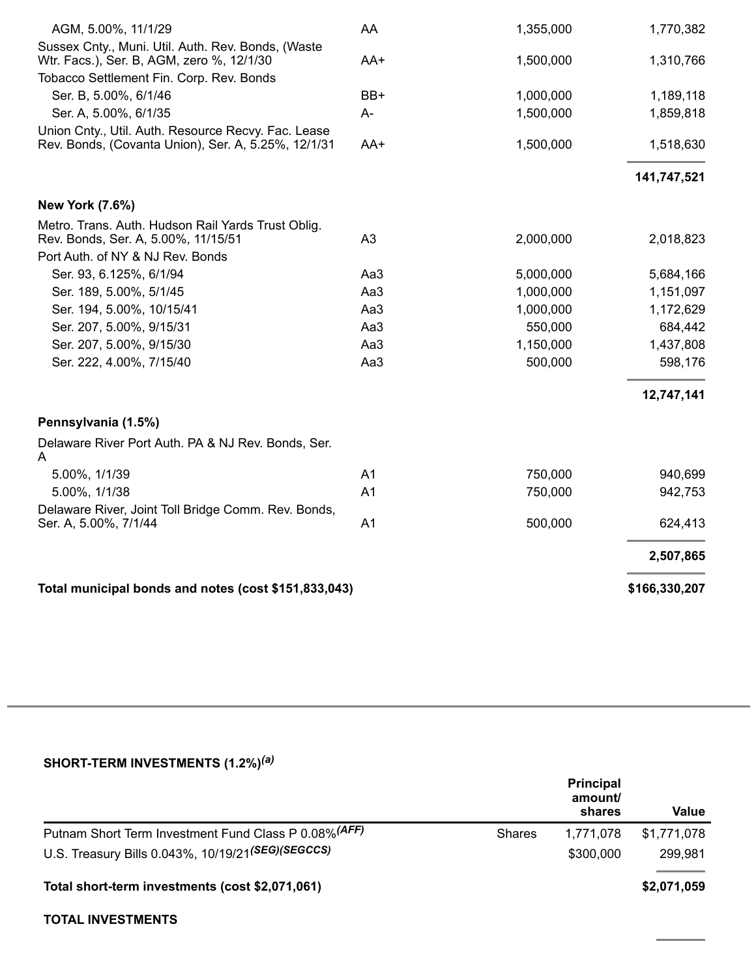| Total municipal bonds and notes (cost \$151,833,043)                                                                |                |           |             |
|---------------------------------------------------------------------------------------------------------------------|----------------|-----------|-------------|
|                                                                                                                     |                |           | 2,507,865   |
| Delaware River, Joint Toll Bridge Comm. Rev. Bonds,<br>Ser. A, 5.00%, 7/1/44                                        | A <sub>1</sub> | 500,000   | 624,413     |
| 5.00%, 1/1/38                                                                                                       | A <sub>1</sub> | 750,000   | 942,753     |
| 5.00%, 1/1/39                                                                                                       | A <sub>1</sub> | 750,000   | 940,699     |
| Delaware River Port Auth. PA & NJ Rev. Bonds, Ser.<br>A                                                             |                |           |             |
| Pennsylvania (1.5%)                                                                                                 |                |           |             |
|                                                                                                                     |                |           | 12,747,141  |
| Ser. 222, 4.00%, 7/15/40                                                                                            | Aa3            | 500,000   | 598,176     |
| Ser. 207, 5.00%, 9/15/30                                                                                            | Aa3            | 1,150,000 | 1,437,808   |
| Ser. 207, 5.00%, 9/15/31                                                                                            | Aa3            | 550,000   | 684,442     |
| Ser. 194, 5.00%, 10/15/41                                                                                           | Aa3            | 1,000,000 | 1,172,629   |
| Ser. 189, 5.00%, 5/1/45                                                                                             | Aa3            | 1,000,000 | 1,151,097   |
| Ser. 93, 6.125%, 6/1/94                                                                                             | Aa3            | 5,000,000 | 5,684,166   |
| Port Auth. of NY & NJ Rev. Bonds                                                                                    |                |           |             |
| <b>New York (7.6%)</b><br>Metro. Trans. Auth. Hudson Rail Yards Trust Oblig.<br>Rev. Bonds, Ser. A, 5.00%, 11/15/51 | A3             | 2,000,000 | 2,018,823   |
|                                                                                                                     |                |           |             |
|                                                                                                                     |                |           | 141,747,521 |
| Union Cnty., Util. Auth. Resource Recvy. Fac. Lease<br>Rev. Bonds, (Covanta Union), Ser. A, 5.25%, 12/1/31          | AA+            | 1,500,000 | 1,518,630   |
| Ser. A, 5.00%, 6/1/35                                                                                               | A-             | 1,500,000 | 1,859,818   |
| Ser. B, 5.00%, 6/1/46                                                                                               | BB+            | 1,000,000 | 1,189,118   |
| Tobacco Settlement Fin. Corp. Rev. Bonds                                                                            |                |           |             |
| Sussex Cnty., Muni. Util. Auth. Rev. Bonds, (Waste<br>Wtr. Facs.), Ser. B, AGM, zero %, 12/1/30                     | AA+            | 1,500,000 | 1,310,766   |
| AGM, 5.00%, 11/1/29                                                                                                 | AA             | 1,355,000 | 1,770,382   |

| SHORT-TERM INVESTMENTS (1.2%) <sup>(a)</sup> |  |
|----------------------------------------------|--|
|----------------------------------------------|--|

|                                                                                                            |               | <b>Principal</b><br>amount/<br>shares | Value                  |
|------------------------------------------------------------------------------------------------------------|---------------|---------------------------------------|------------------------|
| Putnam Short Term Investment Fund Class P 0.08% (AFF)<br>U.S. Treasury Bills 0.043%, 10/19/21(SEG)(SEGCCS) | <b>Shares</b> | 1.771.078<br>\$300,000                | \$1,771,078<br>299,981 |
| Total short-term investments (cost \$2,071,061)                                                            |               |                                       | \$2,071,059            |

### **TOTAL INVESTMENTS**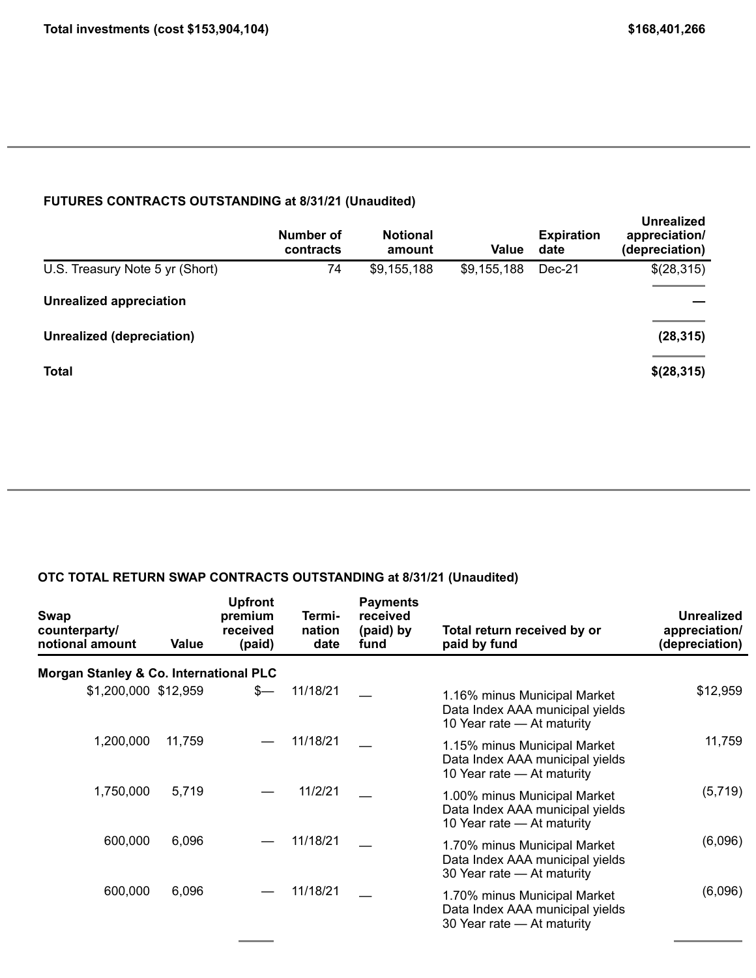### **FUTURES CONTRACTS OUTSTANDING at 8/31/21 (Unaudited)**

|                                  | Number of<br>contracts | <b>Notional</b><br>amount | Value       | <b>Expiration</b><br>date | <b>Unrealized</b><br>appreciation/<br>(depreciation) |
|----------------------------------|------------------------|---------------------------|-------------|---------------------------|------------------------------------------------------|
| U.S. Treasury Note 5 yr (Short)  | 74                     | \$9,155,188               | \$9,155,188 | Dec-21                    | \$(28,315)                                           |
| <b>Unrealized appreciation</b>   |                        |                           |             |                           |                                                      |
| <b>Unrealized (depreciation)</b> |                        |                           |             |                           | (28, 315)                                            |
| <b>Total</b>                     |                        |                           |             |                           | \$(28,315)                                           |

### **OTC TOTAL RETURN SWAP CONTRACTS OUTSTANDING at 8/31/21 (Unaudited)**

| Swap<br>counterparty/<br>notional amount | Value  | <b>Upfront</b><br>premium<br>received<br>(paid) | Termi-<br>nation<br>date | <b>Payments</b><br>received<br>(paid) by<br>fund | Total return received by or<br>paid by fund                                                   | Unrealized<br>appreciation/<br>(depreciation) |
|------------------------------------------|--------|-------------------------------------------------|--------------------------|--------------------------------------------------|-----------------------------------------------------------------------------------------------|-----------------------------------------------|
| Morgan Stanley & Co. International PLC   |        |                                                 |                          |                                                  |                                                                                               |                                               |
| \$1,200,000 \$12,959                     |        | $s-$                                            | 11/18/21                 |                                                  | 1.16% minus Municipal Market<br>Data Index AAA municipal yields<br>10 Year rate - At maturity | \$12,959                                      |
| 1,200,000                                | 11,759 |                                                 | 11/18/21                 |                                                  | 1.15% minus Municipal Market<br>Data Index AAA municipal yields<br>10 Year rate - At maturity | 11,759                                        |
| 1,750,000                                | 5,719  |                                                 | 11/2/21                  |                                                  | 1.00% minus Municipal Market<br>Data Index AAA municipal yields<br>10 Year rate - At maturity | (5,719)                                       |
| 600,000                                  | 6,096  |                                                 | 11/18/21                 |                                                  | 1.70% minus Municipal Market<br>Data Index AAA municipal yields<br>30 Year rate - At maturity | (6,096)                                       |
| 600,000                                  | 6,096  |                                                 | 11/18/21                 |                                                  | 1.70% minus Municipal Market<br>Data Index AAA municipal yields<br>30 Year rate - At maturity | (6,096)                                       |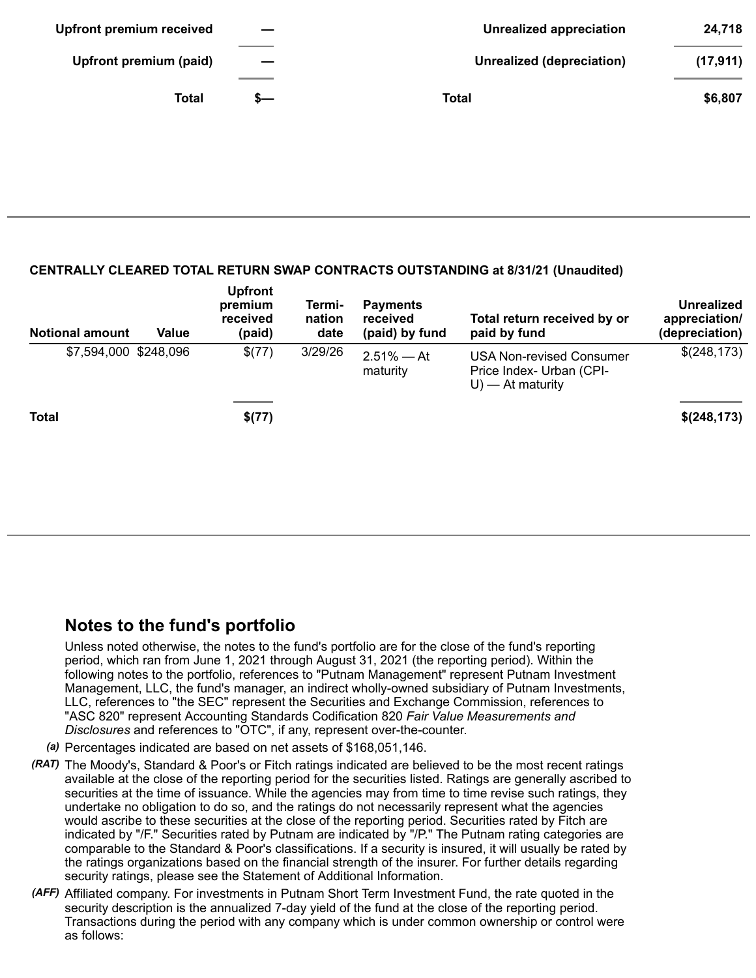| <b>Upfront premium received</b> |                   | <b>Unrealized appreciation</b> | 24,718    |
|---------------------------------|-------------------|--------------------------------|-----------|
| Upfront premium (paid)          | $\hspace{0.05cm}$ | Unrealized (depreciation)      | (17, 911) |
| <b>Total</b>                    | s—                | Total                          | \$6,807   |

#### **CENTRALLY CLEARED TOTAL RETURN SWAP CONTRACTS OUTSTANDING at 8/31/21 (Unaudited)**

| <b>Notional amount</b> | Value | <b>Upfront</b><br>premium<br>received<br>(paid) | Termi-<br>nation<br>date | <b>Payments</b><br>received<br>(paid) by fund | Total return received by or<br>paid by fund                                        | Unrealized<br>appreciation/<br>(depreciation) |
|------------------------|-------|-------------------------------------------------|--------------------------|-----------------------------------------------|------------------------------------------------------------------------------------|-----------------------------------------------|
| \$7,594,000 \$248,096  |       | \$(77)                                          | 3/29/26                  | $2.51\% - At$<br>maturity                     | <b>USA Non-revised Consumer</b><br>Price Index- Urban (CPI-<br>$U$ ) — At maturity | \$(248, 173)                                  |
| <b>Total</b>           |       | \$(77)                                          |                          |                                               |                                                                                    | \$(248,173)                                   |

## **Notes to the fund's portfolio**

Unless noted otherwise, the notes to the fund's portfolio are for the close of the fund's reporting period, which ran from June 1, 2021 through August 31, 2021 (the reporting period). Within the following notes to the portfolio, references to "Putnam Management" represent Putnam Investment Management, LLC, the fund's manager, an indirect wholly-owned subsidiary of Putnam Investments, LLC, references to "the SEC" represent the Securities and Exchange Commission, references to "ASC 820" represent Accounting Standards Codification 820 *Fair Value Measurements and Disclosures* and references to "OTC", if any, represent over-the-counter.

- *(a)* Percentages indicated are based on net assets of \$168,051,146.
- *(RAT)* The Moody's, Standard & Poor's or Fitch ratings indicated are believed to be the most recent ratings available at the close of the reporting period for the securities listed. Ratings are generally ascribed to securities at the time of issuance. While the agencies may from time to time revise such ratings, they undertake no obligation to do so, and the ratings do not necessarily represent what the agencies would ascribe to these securities at the close of the reporting period. Securities rated by Fitch are indicated by "/F." Securities rated by Putnam are indicated by "/P." The Putnam rating categories are comparable to the Standard & Poor's classifications. If a security is insured, it will usually be rated by the ratings organizations based on the financial strength of the insurer. For further details regarding security ratings, please see the Statement of Additional Information.
- *(AFF)* Affiliated company. For investments in Putnam Short Term Investment Fund, the rate quoted in the security description is the annualized 7-day yield of the fund at the close of the reporting period. Transactions during the period with any company which is under common ownership or control were as follows: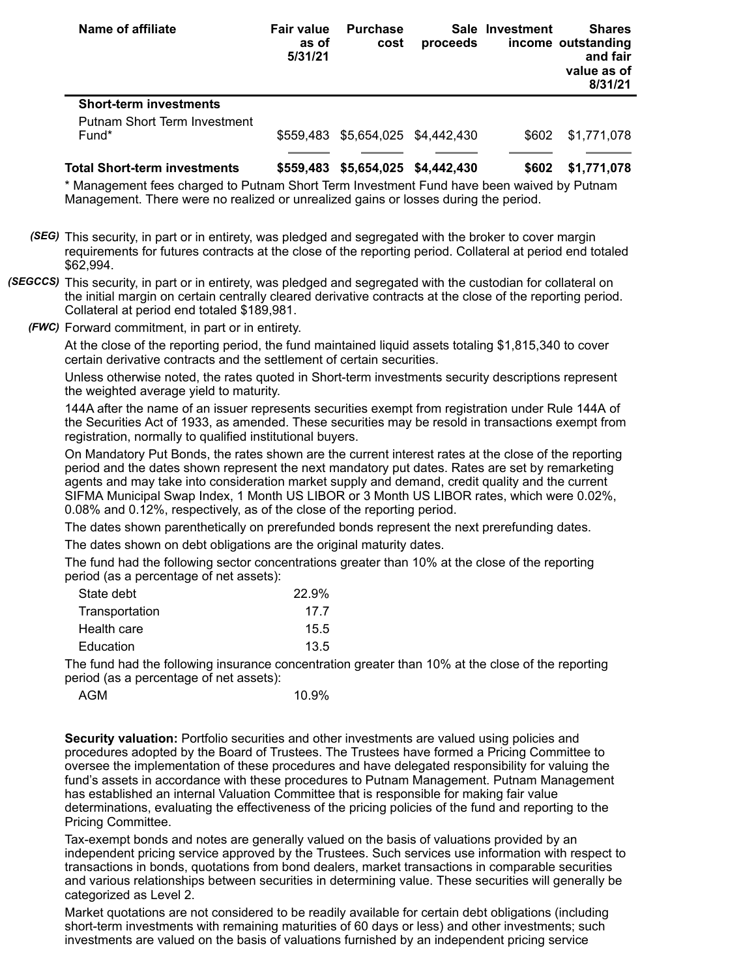| Name of affiliate                                                      | <b>Fair value</b><br>as of<br>5/31/21 | <b>Purchase</b><br>cost           | proceeds                | Sale Investment | <b>Shares</b><br>income outstanding<br>and fair<br>value as of<br>8/31/21 |
|------------------------------------------------------------------------|---------------------------------------|-----------------------------------|-------------------------|-----------------|---------------------------------------------------------------------------|
| <b>Short-term investments</b><br>Putnam Short Term Investment<br>Fund* |                                       | \$559,483 \$5,654,025 \$4,442,430 |                         | \$602           | \$1,771,078                                                               |
| <b>Total Short-term investments</b>                                    | \$559.483                             |                                   | \$5,654,025 \$4,442,430 | \$602           | \$1,771,078                                                               |

\* Management fees charged to Putnam Short Term Investment Fund have been waived by Putnam Management. There were no realized or unrealized gains or losses during the period.

- *(SEG)* This security, in part or in entirety, was pledged and segregated with the broker to cover margin requirements for futures contracts at the close of the reporting period. Collateral at period end totaled \$62,994.
- *(SEGCCS)* This security, in part or in entirety, was pledged and segregated with the custodian for collateral on the initial margin on certain centrally cleared derivative contracts at the close of the reporting period. Collateral at period end totaled \$189,981.
	- *(FWC)* Forward commitment, in part or in entirety.

At the close of the reporting period, the fund maintained liquid assets totaling \$1,815,340 to cover certain derivative contracts and the settlement of certain securities.

Unless otherwise noted, the rates quoted in Short-term investments security descriptions represent the weighted average yield to maturity.

144A after the name of an issuer represents securities exempt from registration under Rule 144A of the Securities Act of 1933, as amended. These securities may be resold in transactions exempt from registration, normally to qualified institutional buyers.

On Mandatory Put Bonds, the rates shown are the current interest rates at the close of the reporting period and the dates shown represent the next mandatory put dates. Rates are set by remarketing agents and may take into consideration market supply and demand, credit quality and the current SIFMA Municipal Swap Index, 1 Month US LIBOR or 3 Month US LIBOR rates, which were 0.02%, 0.08% and 0.12%, respectively, as of the close of the reporting period.

The dates shown parenthetically on prerefunded bonds represent the next prerefunding dates.

The dates shown on debt obligations are the original maturity dates.

The fund had the following sector concentrations greater than 10% at the close of the reporting period (as a percentage of net assets):

| 22.9% |
|-------|
| 177   |
| 15.5  |
| 13.5  |
|       |

The fund had the following insurance concentration greater than 10% at the close of the reporting period (as a percentage of net assets):

| AGM | 10.9% |
|-----|-------|
|     |       |

**Security valuation:** Portfolio securities and other investments are valued using policies and procedures adopted by the Board of Trustees. The Trustees have formed a Pricing Committee to oversee the implementation of these procedures and have delegated responsibility for valuing the fund's assets in accordance with these procedures to Putnam Management. Putnam Management has established an internal Valuation Committee that is responsible for making fair value determinations, evaluating the effectiveness of the pricing policies of the fund and reporting to the Pricing Committee.

Tax-exempt bonds and notes are generally valued on the basis of valuations provided by an independent pricing service approved by the Trustees. Such services use information with respect to transactions in bonds, quotations from bond dealers, market transactions in comparable securities and various relationships between securities in determining value. These securities will generally be categorized as Level 2.

Market quotations are not considered to be readily available for certain debt obligations (including short-term investments with remaining maturities of 60 days or less) and other investments; such investments are valued on the basis of valuations furnished by an independent pricing service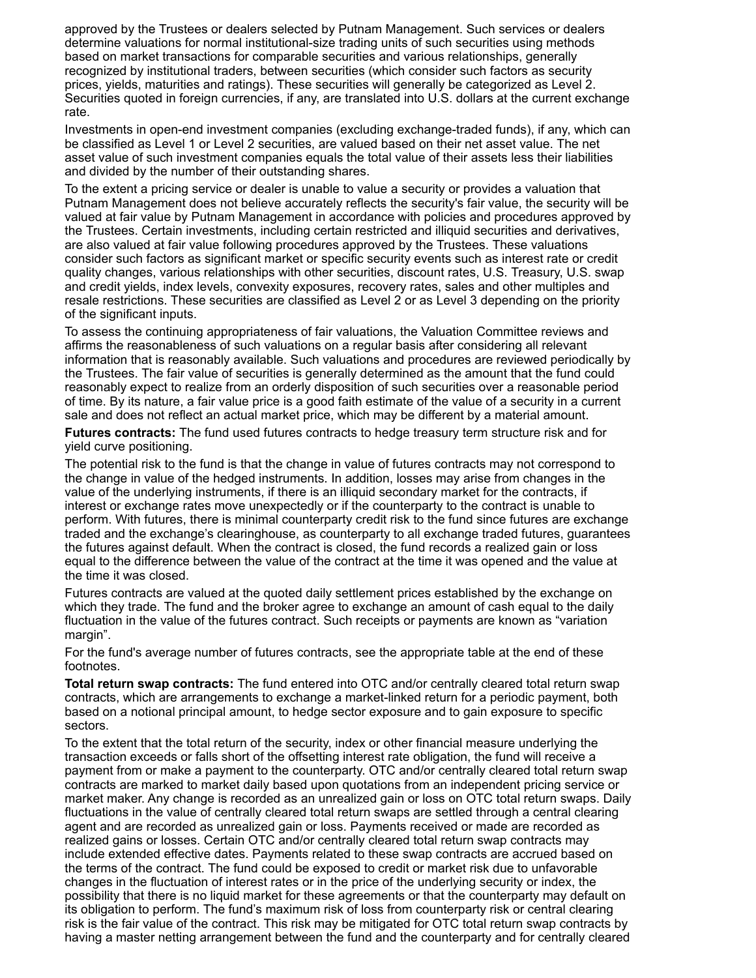approved by the Trustees or dealers selected by Putnam Management. Such services or dealers determine valuations for normal institutional-size trading units of such securities using methods based on market transactions for comparable securities and various relationships, generally recognized by institutional traders, between securities (which consider such factors as security prices, yields, maturities and ratings). These securities will generally be categorized as Level 2. Securities quoted in foreign currencies, if any, are translated into U.S. dollars at the current exchange rate.

Investments in open-end investment companies (excluding exchange-traded funds), if any, which can be classified as Level 1 or Level 2 securities, are valued based on their net asset value. The net asset value of such investment companies equals the total value of their assets less their liabilities and divided by the number of their outstanding shares.

To the extent a pricing service or dealer is unable to value a security or provides a valuation that Putnam Management does not believe accurately reflects the security's fair value, the security will be valued at fair value by Putnam Management in accordance with policies and procedures approved by the Trustees. Certain investments, including certain restricted and illiquid securities and derivatives, are also valued at fair value following procedures approved by the Trustees. These valuations consider such factors as significant market or specific security events such as interest rate or credit quality changes, various relationships with other securities, discount rates, U.S. Treasury, U.S. swap and credit yields, index levels, convexity exposures, recovery rates, sales and other multiples and resale restrictions. These securities are classified as Level 2 or as Level 3 depending on the priority of the significant inputs.

To assess the continuing appropriateness of fair valuations, the Valuation Committee reviews and affirms the reasonableness of such valuations on a regular basis after considering all relevant information that is reasonably available. Such valuations and procedures are reviewed periodically by the Trustees. The fair value of securities is generally determined as the amount that the fund could reasonably expect to realize from an orderly disposition of such securities over a reasonable period of time. By its nature, a fair value price is a good faith estimate of the value of a security in a current sale and does not reflect an actual market price, which may be different by a material amount.

**Futures contracts:** The fund used futures contracts to hedge treasury term structure risk and for yield curve positioning.

The potential risk to the fund is that the change in value of futures contracts may not correspond to the change in value of the hedged instruments. In addition, losses may arise from changes in the value of the underlying instruments, if there is an illiquid secondary market for the contracts, if interest or exchange rates move unexpectedly or if the counterparty to the contract is unable to perform. With futures, there is minimal counterparty credit risk to the fund since futures are exchange traded and the exchange's clearinghouse, as counterparty to all exchange traded futures, guarantees the futures against default. When the contract is closed, the fund records a realized gain or loss equal to the difference between the value of the contract at the time it was opened and the value at the time it was closed.

Futures contracts are valued at the quoted daily settlement prices established by the exchange on which they trade. The fund and the broker agree to exchange an amount of cash equal to the daily fluctuation in the value of the futures contract. Such receipts or payments are known as "variation margin".

For the fund's average number of futures contracts, see the appropriate table at the end of these footnotes.

**Total return swap contracts:** The fund entered into OTC and/or centrally cleared total return swap contracts, which are arrangements to exchange a market-linked return for a periodic payment, both based on a notional principal amount, to hedge sector exposure and to gain exposure to specific sectors.

To the extent that the total return of the security, index or other financial measure underlying the transaction exceeds or falls short of the offsetting interest rate obligation, the fund will receive a payment from or make a payment to the counterparty. OTC and/or centrally cleared total return swap contracts are marked to market daily based upon quotations from an independent pricing service or market maker. Any change is recorded as an unrealized gain or loss on OTC total return swaps. Daily fluctuations in the value of centrally cleared total return swaps are settled through a central clearing agent and are recorded as unrealized gain or loss. Payments received or made are recorded as realized gains or losses. Certain OTC and/or centrally cleared total return swap contracts may include extended effective dates. Payments related to these swap contracts are accrued based on the terms of the contract. The fund could be exposed to credit or market risk due to unfavorable changes in the fluctuation of interest rates or in the price of the underlying security or index, the possibility that there is no liquid market for these agreements or that the counterparty may default on its obligation to perform. The fund's maximum risk of loss from counterparty risk or central clearing risk is the fair value of the contract. This risk may be mitigated for OTC total return swap contracts by having a master netting arrangement between the fund and the counterparty and for centrally cleared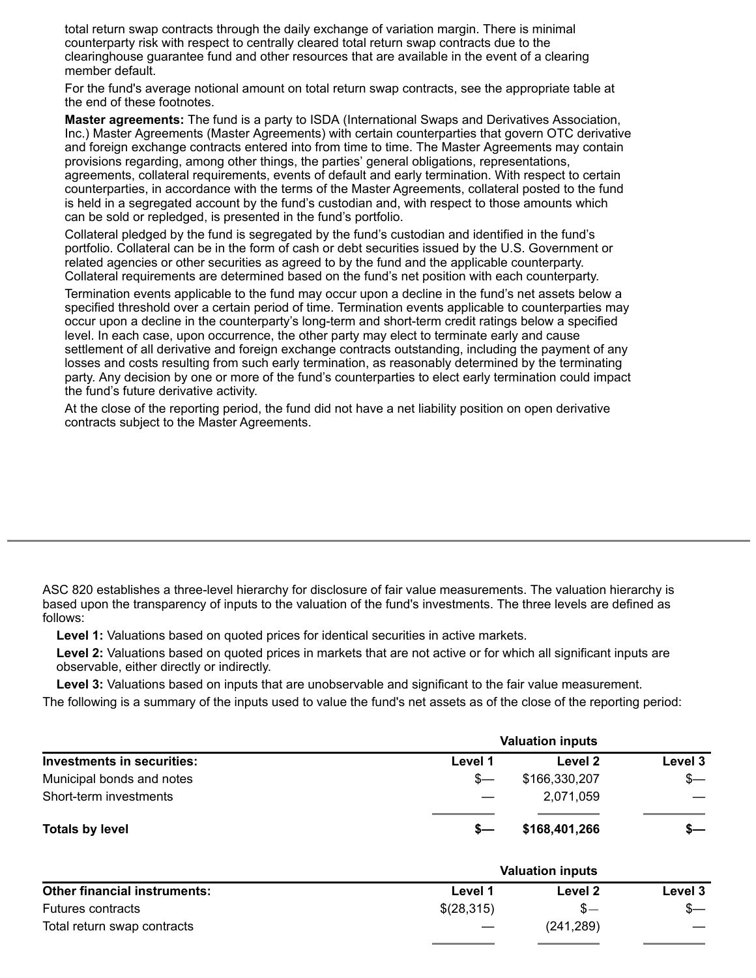total return swap contracts through the daily exchange of variation margin. There is minimal counterparty risk with respect to centrally cleared total return swap contracts due to the clearinghouse guarantee fund and other resources that are available in the event of a clearing member default.

For the fund's average notional amount on total return swap contracts, see the appropriate table at the end of these footnotes.

**Master agreements:** The fund is a party to ISDA (International Swaps and Derivatives Association, Inc.) Master Agreements (Master Agreements) with certain counterparties that govern OTC derivative and foreign exchange contracts entered into from time to time. The Master Agreements may contain provisions regarding, among other things, the parties' general obligations, representations, agreements, collateral requirements, events of default and early termination. With respect to certain counterparties, in accordance with the terms of the Master Agreements, collateral posted to the fund is held in a segregated account by the fund's custodian and, with respect to those amounts which can be sold or repledged, is presented in the fund's portfolio.

Collateral pledged by the fund is segregated by the fund's custodian and identified in the fund's portfolio. Collateral can be in the form of cash or debt securities issued by the U.S. Government or related agencies or other securities as agreed to by the fund and the applicable counterparty. Collateral requirements are determined based on the fund's net position with each counterparty.

Termination events applicable to the fund may occur upon a decline in the fund's net assets below a specified threshold over a certain period of time. Termination events applicable to counterparties may occur upon a decline in the counterparty's long-term and short-term credit ratings below a specified level. In each case, upon occurrence, the other party may elect to terminate early and cause settlement of all derivative and foreign exchange contracts outstanding, including the payment of any losses and costs resulting from such early termination, as reasonably determined by the terminating party. Any decision by one or more of the fund's counterparties to elect early termination could impact the fund's future derivative activity.

At the close of the reporting period, the fund did not have a net liability position on open derivative contracts subject to the Master Agreements.

ASC 820 establishes a three-level hierarchy for disclosure of fair value measurements. The valuation hierarchy is based upon the transparency of inputs to the valuation of the fund's investments. The three levels are defined as follows:

**Level 1:** Valuations based on quoted prices for identical securities in active markets.

**Level 2:** Valuations based on quoted prices in markets that are not active or for which all significant inputs are observable, either directly or indirectly.

**Level 3:** Valuations based on inputs that are unobservable and significant to the fair value measurement.

The following is a summary of the inputs used to value the fund's net assets as of the close of the reporting period:

|                                   |         | <b>Valuation inputs</b> |         |
|-----------------------------------|---------|-------------------------|---------|
| <b>Investments in securities:</b> | Level 1 | Level 2                 | Level 3 |
| Municipal bonds and notes         | s—      | \$166,330,207           | $s-$    |
| Short-term investments            |         | 2,071,059               |         |
| <b>Totals by level</b>            |         | \$168,401,266           | $s-$    |

|                                     |                          | <b>Valuation inputs</b> |         |
|-------------------------------------|--------------------------|-------------------------|---------|
| <b>Other financial instruments:</b> | Level 1                  | Level 2                 | Level 3 |
| Futures contracts                   | \$(28,315)               | $S -$                   | $s-$    |
| Total return swap contracts         | $\overline{\phantom{m}}$ | (241, 289)              |         |